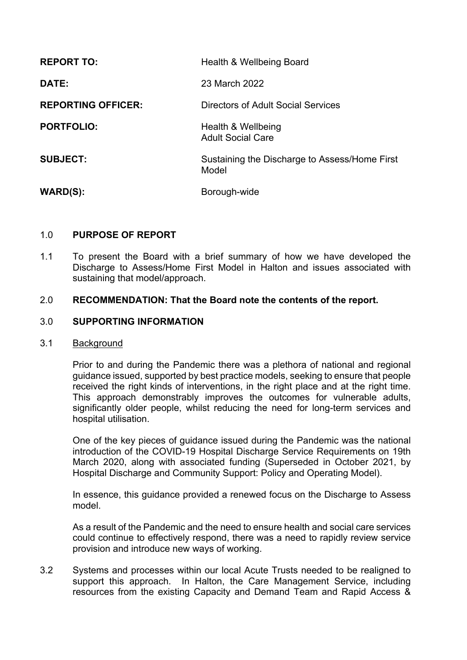| <b>REPORT TO:</b>         | Health & Wellbeing Board                               |
|---------------------------|--------------------------------------------------------|
| DATE:                     | 23 March 2022                                          |
| <b>REPORTING OFFICER:</b> | Directors of Adult Social Services                     |
| <b>PORTFOLIO:</b>         | Health & Wellbeing<br><b>Adult Social Care</b>         |
| <b>SUBJECT:</b>           | Sustaining the Discharge to Assess/Home First<br>Model |
| <b>WARD(S):</b>           | Borough-wide                                           |

# 1.0 **PURPOSE OF REPORT**

1.1 To present the Board with a brief summary of how we have developed the Discharge to Assess/Home First Model in Halton and issues associated with sustaining that model/approach.

### 2.0 **RECOMMENDATION: That the Board note the contents of the report.**

### 3.0 **SUPPORTING INFORMATION**

#### 3.1 Background

Prior to and during the Pandemic there was a plethora of national and regional guidance issued, supported by best practice models, seeking to ensure that people received the right kinds of interventions, in the right place and at the right time. This approach demonstrably improves the outcomes for vulnerable adults, significantly older people, whilst reducing the need for long-term services and hospital utilisation.

One of the key pieces of guidance issued during the Pandemic was the national introduction of the COVID-19 Hospital Discharge Service Requirements on 19th March 2020, along with associated funding (Superseded in October 2021, by Hospital Discharge and Community Support: Policy and Operating Model).

In essence, this guidance provided a renewed focus on the Discharge to Assess model.

As a result of the Pandemic and the need to ensure health and social care services could continue to effectively respond, there was a need to rapidly review service provision and introduce new ways of working.

3.2 Systems and processes within our local Acute Trusts needed to be realigned to support this approach. In Halton, the Care Management Service, including resources from the existing Capacity and Demand Team and Rapid Access &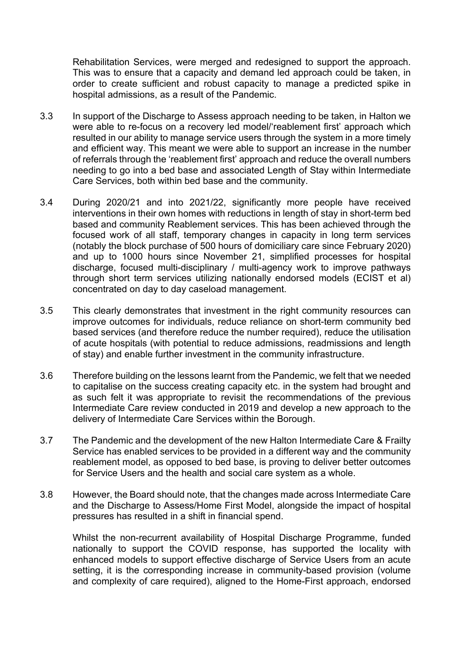Rehabilitation Services, were merged and redesigned to support the approach. This was to ensure that a capacity and demand led approach could be taken, in order to create sufficient and robust capacity to manage a predicted spike in hospital admissions, as a result of the Pandemic.

- 3.3 In support of the Discharge to Assess approach needing to be taken, in Halton we were able to re-focus on a recovery led model/'reablement first' approach which resulted in our ability to manage service users through the system in a more timely and efficient way. This meant we were able to support an increase in the number of referrals through the 'reablement first' approach and reduce the overall numbers needing to go into a bed base and associated Length of Stay within Intermediate Care Services, both within bed base and the community.
- 3.4 During 2020/21 and into 2021/22, significantly more people have received interventions in their own homes with reductions in length of stay in short-term bed based and community Reablement services. This has been achieved through the focused work of all staff, temporary changes in capacity in long term services (notably the block purchase of 500 hours of domiciliary care since February 2020) and up to 1000 hours since November 21, simplified processes for hospital discharge, focused multi-disciplinary / multi-agency work to improve pathways through short term services utilizing nationally endorsed models (ECIST et al) concentrated on day to day caseload management.
- 3.5 This clearly demonstrates that investment in the right community resources can improve outcomes for individuals, reduce reliance on short-term community bed based services (and therefore reduce the number required), reduce the utilisation of acute hospitals (with potential to reduce admissions, readmissions and length of stay) and enable further investment in the community infrastructure.
- 3.6 Therefore building on the lessons learnt from the Pandemic, we felt that we needed to capitalise on the success creating capacity etc. in the system had brought and as such felt it was appropriate to revisit the recommendations of the previous Intermediate Care review conducted in 2019 and develop a new approach to the delivery of Intermediate Care Services within the Borough.
- 3.7 The Pandemic and the development of the new Halton Intermediate Care & Frailty Service has enabled services to be provided in a different way and the community reablement model, as opposed to bed base, is proving to deliver better outcomes for Service Users and the health and social care system as a whole.
- 3.8 However, the Board should note, that the changes made across Intermediate Care and the Discharge to Assess/Home First Model, alongside the impact of hospital pressures has resulted in a shift in financial spend.

Whilst the non-recurrent availability of Hospital Discharge Programme, funded nationally to support the COVID response, has supported the locality with enhanced models to support effective discharge of Service Users from an acute setting, it is the corresponding increase in community-based provision (volume and complexity of care required), aligned to the Home-First approach, endorsed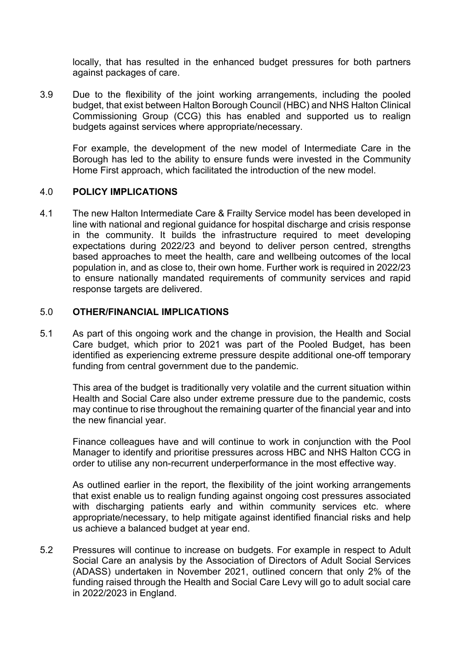locally, that has resulted in the enhanced budget pressures for both partners against packages of care.

3.9 Due to the flexibility of the joint working arrangements, including the pooled budget, that exist between Halton Borough Council (HBC) and NHS Halton Clinical Commissioning Group (CCG) this has enabled and supported us to realign budgets against services where appropriate/necessary.

For example, the development of the new model of Intermediate Care in the Borough has led to the ability to ensure funds were invested in the Community Home First approach, which facilitated the introduction of the new model.

### 4.0 **POLICY IMPLICATIONS**

4.1 The new Halton Intermediate Care & Frailty Service model has been developed in line with national and regional guidance for hospital discharge and crisis response in the community. It builds the infrastructure required to meet developing expectations during 2022/23 and beyond to deliver person centred, strengths based approaches to meet the health, care and wellbeing outcomes of the local population in, and as close to, their own home. Further work is required in 2022/23 to ensure nationally mandated requirements of community services and rapid response targets are delivered.

### 5.0 **OTHER/FINANCIAL IMPLICATIONS**

5.1 As part of this ongoing work and the change in provision, the Health and Social Care budget, which prior to 2021 was part of the Pooled Budget, has been identified as experiencing extreme pressure despite additional one-off temporary funding from central government due to the pandemic.

This area of the budget is traditionally very volatile and the current situation within Health and Social Care also under extreme pressure due to the pandemic, costs may continue to rise throughout the remaining quarter of the financial year and into the new financial year.

Finance colleagues have and will continue to work in conjunction with the Pool Manager to identify and prioritise pressures across HBC and NHS Halton CCG in order to utilise any non-recurrent underperformance in the most effective way.

As outlined earlier in the report, the flexibility of the joint working arrangements that exist enable us to realign funding against ongoing cost pressures associated with discharging patients early and within community services etc. where appropriate/necessary, to help mitigate against identified financial risks and help us achieve a balanced budget at year end.

5.2 Pressures will continue to increase on budgets. For example in respect to Adult Social Care an analysis by the Association of Directors of Adult Social Services (ADASS) undertaken in November 2021, outlined concern that only 2% of the funding raised through the Health and Social Care Levy will go to adult social care in 2022/2023 in England.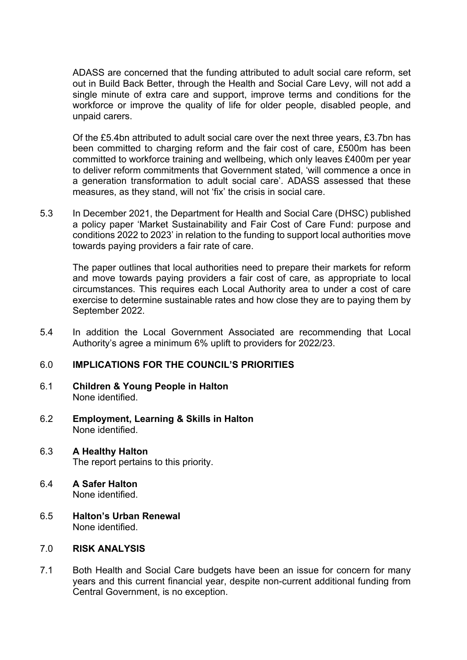ADASS are concerned that the funding attributed to adult social care reform, set out in Build Back Better, through the Health and Social Care Levy, will not add a single minute of extra care and support, improve terms and conditions for the workforce or improve the quality of life for older people, disabled people, and unpaid carers.

Of the £5.4bn attributed to adult social care over the next three years, £3.7bn has been committed to charging reform and the fair cost of care, £500m has been committed to workforce training and wellbeing, which only leaves £400m per year to deliver reform commitments that Government stated, 'will commence a once in a generation transformation to adult social care'. ADASS assessed that these measures, as they stand, will not 'fix' the crisis in social care.

5.3 In December 2021, the Department for Health and Social Care (DHSC) published a policy paper 'Market Sustainability and Fair Cost of Care Fund: purpose and conditions 2022 to 2023' in relation to the funding to support local authorities move towards paying providers a fair rate of care.

The paper outlines that local authorities need to prepare their markets for reform and move towards paying providers a fair cost of care, as appropriate to local circumstances. This requires each Local Authority area to under a cost of care exercise to determine sustainable rates and how close they are to paying them by September 2022.

5.4 In addition the Local Government Associated are recommending that Local Authority's agree a minimum 6% uplift to providers for 2022/23.

### 6.0 **IMPLICATIONS FOR THE COUNCIL'S PRIORITIES**

- 6.1 **Children & Young People in Halton** None identified.
- 6.2 **Employment, Learning & Skills in Halton** None identified.
- 6.3 **A Healthy Halton** The report pertains to this priority.
- 6.4 **A Safer Halton** None identified.
- 6.5 **Halton's Urban Renewal** None identified.

### 7.0 **RISK ANALYSIS**

7.1 Both Health and Social Care budgets have been an issue for concern for many years and this current financial year, despite non-current additional funding from Central Government, is no exception.